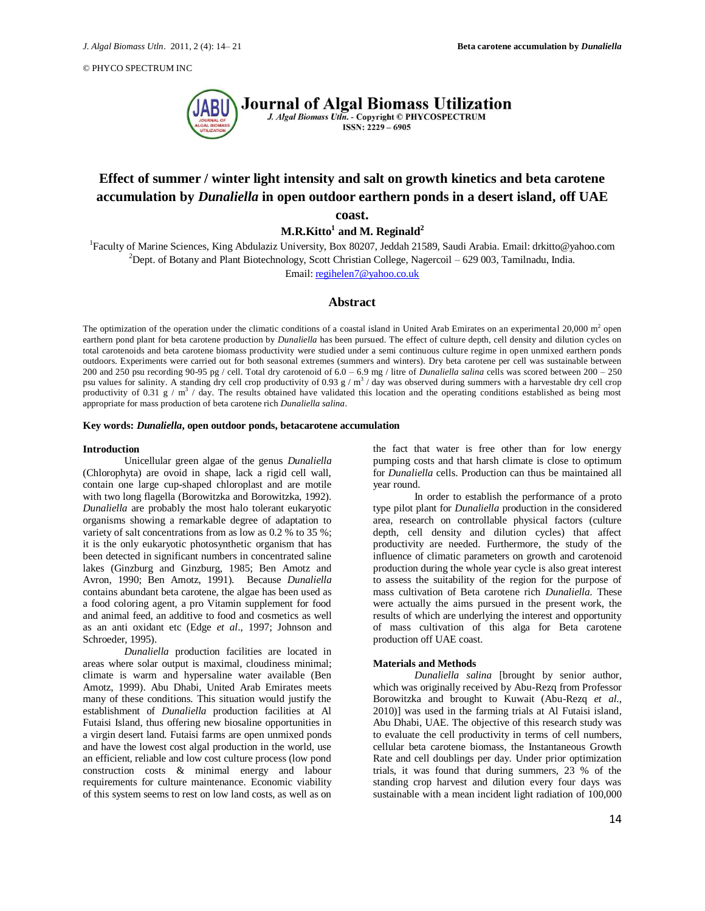

# **Effect of summer / winter light intensity and salt on growth kinetics and beta carotene accumulation by** *Dunaliella* **in open outdoor earthern ponds in a desert island, off UAE coast.**

 $\mathbf{M.R. Kitto^1}$  and  $\mathbf{M.}$  Reginald $^2$ 

<sup>1</sup>Faculty of Marine Sciences, King Abdulaziz University, Box 80207, Jeddah 21589, Saudi Arabia. Email: drkitto@yahoo.com <sup>2</sup>Dept. of Botany and Plant Biotechnology, Scott Christian College, Nagercoil – 629 003, Tamilnadu, India.

Email[: regihelen7@yahoo.co.uk](mailto:regihelen7@yahoo.co.uk)

# **Abstract**

The optimization of the operation under the climatic conditions of a coastal island in United Arab Emirates on an experimental 20,000  $\text{m}^2$  open earthern pond plant for beta carotene production by *Dunaliella* has been pursued. The effect of culture depth, cell density and dilution cycles on total carotenoids and beta carotene biomass productivity were studied under a semi continuous culture regime in open unmixed earthern ponds outdoors. Experiments were carried out for both seasonal extremes (summers and winters). Dry beta carotene per cell was sustainable between 200 and 250 psu recording 90-95 pg / cell. Total dry carotenoid of  $6.0 - 6.9$  mg / litre of *Dunaliella salina* cells was scored between  $200 - 250$ psu values for salinity. A standing dry cell crop productivity of 0.93  $g/m<sup>3</sup>$  / day was observed during summers with a harvestable dry cell crop productivity of 0.31  $g/m^3$  / day. The results obtained have validated this location and the operating conditions established as being most appropriate for mass production of beta carotene rich *Dunaliella salina*.

#### **Key words:** *Dunaliella***, open outdoor ponds, betacarotene accumulation**

### **Introduction**

Unicellular green algae of the genus *Dunaliella*  (Chlorophyta) are ovoid in shape, lack a rigid cell wall, contain one large cup-shaped chloroplast and are motile with two long flagella (Borowitzka and Borowitzka, 1992). *Dunaliella* are probably the most halo tolerant eukaryotic organisms showing a remarkable degree of adaptation to variety of salt concentrations from as low as 0.2 % to 35 %; it is the only eukaryotic photosynthetic organism that has been detected in significant numbers in concentrated saline lakes (Ginzburg and Ginzburg, 1985; Ben Amotz and Avron, 1990; Ben Amotz, 1991). Because *Dunaliella* contains abundant beta carotene, the algae has been used as a food coloring agent, a pro Vitamin supplement for food and animal feed, an additive to food and cosmetics as well as an anti oxidant etc (Edge *et al*., 1997; Johnson and Schroeder, 1995).

*Dunaliella* production facilities are located in areas where solar output is maximal, cloudiness minimal; climate is warm and hypersaline water available (Ben Amotz, 1999). Abu Dhabi, United Arab Emirates meets many of these conditions. This situation would justify the establishment of *Dunaliella* production facilities at Al Futaisi Island, thus offering new biosaline opportunities in a virgin desert land. Futaisi farms are open unmixed ponds and have the lowest cost algal production in the world, use an efficient, reliable and low cost culture process (low pond construction costs & minimal energy and labour requirements for culture maintenance. Economic viability of this system seems to rest on low land costs, as well as on

the fact that water is free other than for low energy pumping costs and that harsh climate is close to optimum for *Dunaliella* cells. Production can thus be maintained all year round.

In order to establish the performance of a proto type pilot plant for *Dunaliella* production in the considered area, research on controllable physical factors (culture depth, cell density and dilution cycles) that affect productivity are needed. Furthermore, the study of the influence of climatic parameters on growth and carotenoid production during the whole year cycle is also great interest to assess the suitability of the region for the purpose of mass cultivation of Beta carotene rich *Dunaliella*. These were actually the aims pursued in the present work, the results of which are underlying the interest and opportunity of mass cultivation of this alga for Beta carotene production off UAE coast.

#### **Materials and Methods**

*Dunaliella salina* [brought by senior author, which was originally received by Abu-Rezq from Professor Borowitzka and brought to Kuwait (Abu-Rezq *et al*., 2010)] was used in the farming trials at Al Futaisi island, Abu Dhabi, UAE. The objective of this research study was to evaluate the cell productivity in terms of cell numbers, cellular beta carotene biomass, the Instantaneous Growth Rate and cell doublings per day. Under prior optimization trials, it was found that during summers, 23 % of the standing crop harvest and dilution every four days was sustainable with a mean incident light radiation of 100,000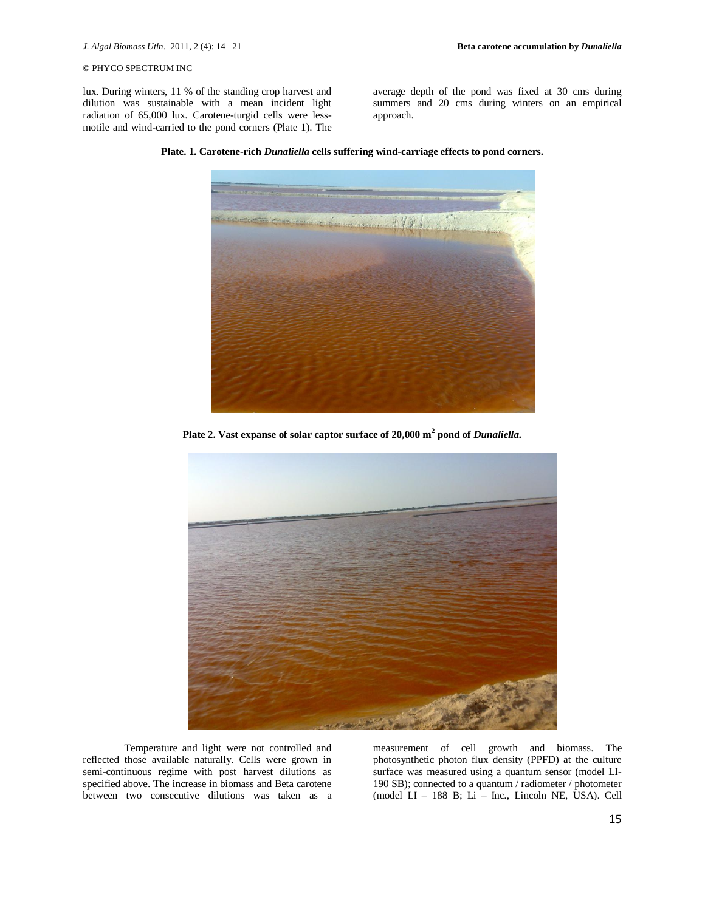lux. During winters, 11 % of the standing crop harvest and dilution was sustainable with a mean incident light radiation of 65,000 lux. Carotene-turgid cells were lessmotile and wind-carried to the pond corners (Plate 1). The average depth of the pond was fixed at 30 cms during summers and 20 cms during winters on an empirical approach.

小红豆

**Plate. 1. Carotene-rich** *Dunaliella* **cells suffering wind-carriage effects to pond corners.**

**Plate 2. Vast expanse of solar captor surface of 20,000 m<sup>2</sup> pond of** *Dunaliella.*



Temperature and light were not controlled and reflected those available naturally. Cells were grown in semi-continuous regime with post harvest dilutions as specified above. The increase in biomass and Beta carotene between two consecutive dilutions was taken as a

measurement of cell growth and biomass. The photosynthetic photon flux density (PPFD) at the culture surface was measured using a quantum sensor (model LI-190 SB); connected to a quantum / radiometer / photometer (model LI – 188 B; Li – Inc., Lincoln NE, USA). Cell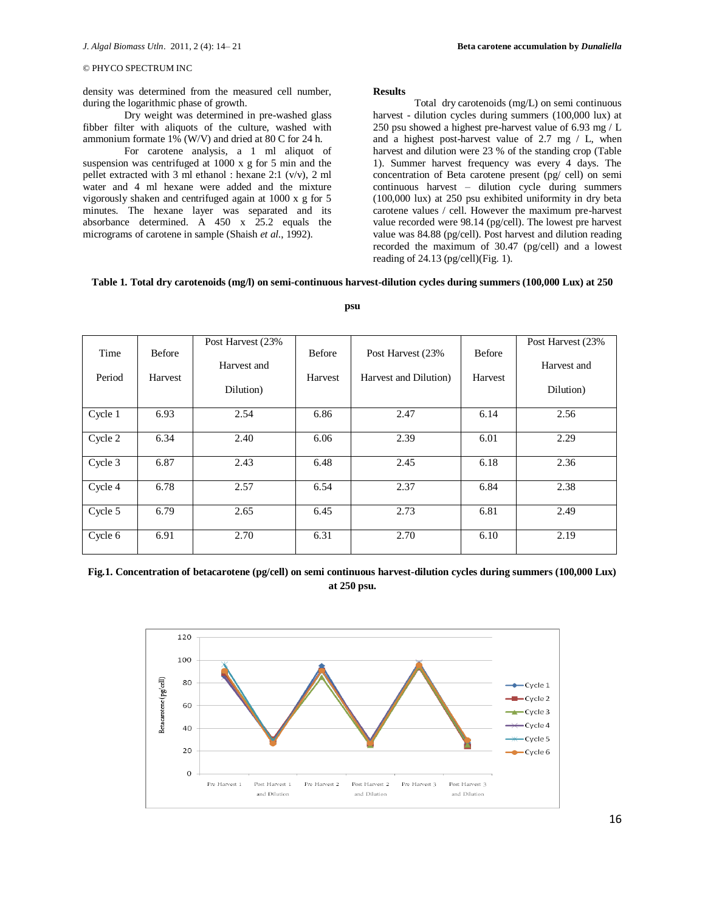density was determined from the measured cell number, during the logarithmic phase of growth.

Dry weight was determined in pre-washed glass fibber filter with aliquots of the culture, washed with ammonium formate 1% (W/V) and dried at 80 C for 24 h.

For carotene analysis, a 1 ml aliquot of suspension was centrifuged at 1000 x g for 5 min and the pellet extracted with 3 ml ethanol : hexane 2:1 (v/v), 2 ml water and 4 ml hexane were added and the mixture vigorously shaken and centrifuged again at 1000 x g for 5 minutes. The hexane layer was separated and its absorbance determined. A 450 x 25.2 equals the micrograms of carotene in sample (Shaish *et al*., 1992).

#### **Results**

Total dry carotenoids (mg/L) on semi continuous harvest - dilution cycles during summers (100,000 lux) at 250 psu showed a highest pre-harvest value of 6.93 mg / L and a highest post-harvest value of 2.7 mg / L, when harvest and dilution were 23 % of the standing crop (Table 1). Summer harvest frequency was every 4 days. The concentration of Beta carotene present (pg/ cell) on semi continuous harvest – dilution cycle during summers (100,000 lux) at 250 psu exhibited uniformity in dry beta carotene values / cell. However the maximum pre-harvest value recorded were 98.14 (pg/cell). The lowest pre harvest value was 84.88 (pg/cell). Post harvest and dilution reading recorded the maximum of 30.47 (pg/cell) and a lowest reading of 24.13 (pg/cell)(Fig. 1).

### **Table 1. Total dry carotenoids (mg/l) on semi-continuous harvest-dilution cycles during summers (100,000 Lux) at 250**

| Time<br>Period | <b>Before</b><br>Harvest | Post Harvest (23%)<br>Harvest and<br>Dilution) | Before<br>Harvest | Post Harvest (23%)<br>Harvest and Dilution) | Before<br>Harvest | Post Harvest (23%<br>Harvest and<br>Dilution) |
|----------------|--------------------------|------------------------------------------------|-------------------|---------------------------------------------|-------------------|-----------------------------------------------|
| Cycle 1        | 6.93                     | 2.54                                           | 6.86              | 2.47                                        | 6.14              | 2.56                                          |
| Cycle 2        | 6.34                     | 2.40                                           | 6.06              | 2.39                                        | 6.01              | 2.29                                          |
| Cycle 3        | 6.87                     | 2.43                                           | 6.48              | 2.45                                        | 6.18              | 2.36                                          |
| Cycle 4        | 6.78                     | 2.57                                           | 6.54              | 2.37                                        | 6.84              | 2.38                                          |
| Cycle 5        | 6.79                     | 2.65                                           | 6.45              | 2.73                                        | 6.81              | 2.49                                          |
| Cycle 6        | 6.91                     | 2.70                                           | 6.31              | 2.70                                        | 6.10              | 2.19                                          |

**psu**

**Fig.1. Concentration of betacarotene (pg/cell) on semi continuous harvest-dilution cycles during summers (100,000 Lux) at 250 psu.**

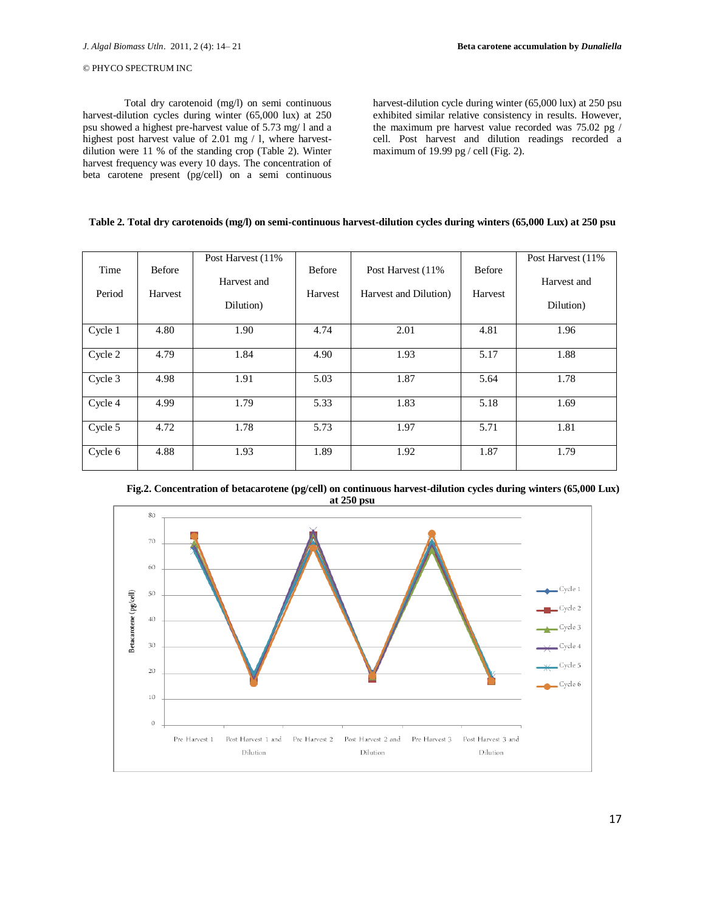Total dry carotenoid (mg/l) on semi continuous harvest-dilution cycles during winter (65,000 lux) at 250 psu showed a highest pre-harvest value of 5.73 mg/ l and a highest post harvest value of 2.01 mg / l, where harvestdilution were 11 % of the standing crop (Table 2). Winter harvest frequency was every 10 days. The concentration of beta carotene present (pg/cell) on a semi continuous

harvest-dilution cycle during winter (65,000 lux) at 250 psu exhibited similar relative consistency in results. However, the maximum pre harvest value recorded was 75.02 pg / cell. Post harvest and dilution readings recorded a maximum of 19.99 pg / cell (Fig. 2).

# **Table 2. Total dry carotenoids (mg/l) on semi-continuous harvest-dilution cycles during winters (65,000 Lux) at 250 psu**

| Time    | <b>Before</b> | Post Harvest (11%)<br>Harvest and | Before  | Post Harvest (11%)    | <b>Before</b> | Post Harvest (11%)<br>Harvest and |
|---------|---------------|-----------------------------------|---------|-----------------------|---------------|-----------------------------------|
| Period  | Harvest       | Dilution)                         | Harvest | Harvest and Dilution) | Harvest       | Dilution)                         |
| Cycle 1 | 4.80          | 1.90                              | 4.74    | 2.01                  | 4.81          | 1.96                              |
| Cycle 2 | 4.79          | 1.84                              | 4.90    | 1.93                  | 5.17          | 1.88                              |
| Cycle 3 | 4.98          | 1.91                              | 5.03    | 1.87                  | 5.64          | 1.78                              |
| Cycle 4 | 4.99          | 1.79                              | 5.33    | 1.83                  | 5.18          | 1.69                              |
| Cycle 5 | 4.72          | 1.78                              | 5.73    | 1.97                  | 5.71          | 1.81                              |
| Cycle 6 | 4.88          | 1.93                              | 1.89    | 1.92                  | 1.87          | 1.79                              |



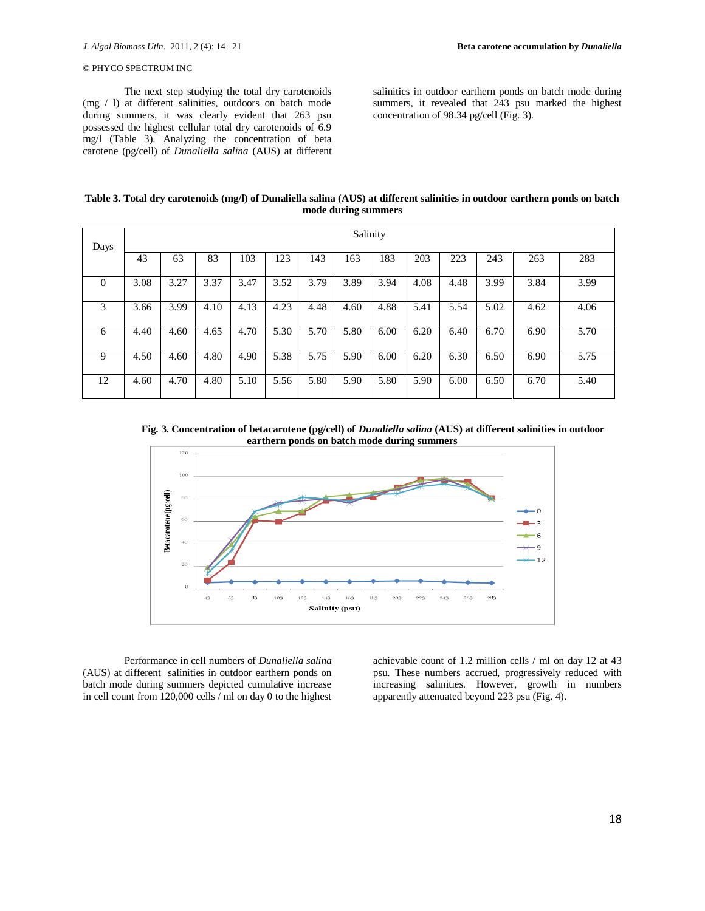The next step studying the total dry carotenoids (mg / l) at different salinities, outdoors on batch mode during summers, it was clearly evident that 263 psu possessed the highest cellular total dry carotenoids of 6.9 mg/l (Table 3). Analyzing the concentration of beta carotene (pg/cell) of *Dunaliella salina* (AUS) at different salinities in outdoor earthern ponds on batch mode during summers, it revealed that 243 psu marked the highest concentration of 98.34 pg/cell (Fig. 3).

| Table 3. Total dry carotenoids (mg/l) of Dunaliella salina (AUS) at different salinities in outdoor earthern ponds on batch |
|-----------------------------------------------------------------------------------------------------------------------------|
| mode during summers                                                                                                         |

| Days     | Salinity |      |      |      |      |      |      |      |      |      |      |      |      |
|----------|----------|------|------|------|------|------|------|------|------|------|------|------|------|
|          | 43       | 63   | 83   | 103  | 123  | 143  | 163  | 183  | 203  | 223  | 243  | 263  | 283  |
| $\theta$ | 3.08     | 3.27 | 3.37 | 3.47 | 3.52 | 3.79 | 3.89 | 3.94 | 4.08 | 4.48 | 3.99 | 3.84 | 3.99 |
| 3        | 3.66     | 3.99 | 4.10 | 4.13 | 4.23 | 4.48 | 4.60 | 4.88 | 5.41 | 5.54 | 5.02 | 4.62 | 4.06 |
| 6        | 4.40     | 4.60 | 4.65 | 4.70 | 5.30 | 5.70 | 5.80 | 6.00 | 6.20 | 6.40 | 6.70 | 6.90 | 5.70 |
| 9        | 4.50     | 4.60 | 4.80 | 4.90 | 5.38 | 5.75 | 5.90 | 6.00 | 6.20 | 6.30 | 6.50 | 6.90 | 5.75 |
| 12       | 4.60     | 4.70 | 4.80 | 5.10 | 5.56 | 5.80 | 5.90 | 5.80 | 5.90 | 6.00 | 6.50 | 6.70 | 5.40 |

**Fig. 3. Concentration of betacarotene (pg/cell) of** *Dunaliella salina* **(AUS) at different salinities in outdoor earthern ponds on batch mode during summers**



Performance in cell numbers of *Dunaliella salina* (AUS) at different salinities in outdoor earthern ponds on batch mode during summers depicted cumulative increase in cell count from  $120,000$  cells  $\hat{i}$  ml on day 0 to the highest

achievable count of 1.2 million cells / ml on day 12 at 43 psu. These numbers accrued, progressively reduced with increasing salinities. However, growth in numbers apparently attenuated beyond 223 psu (Fig. 4).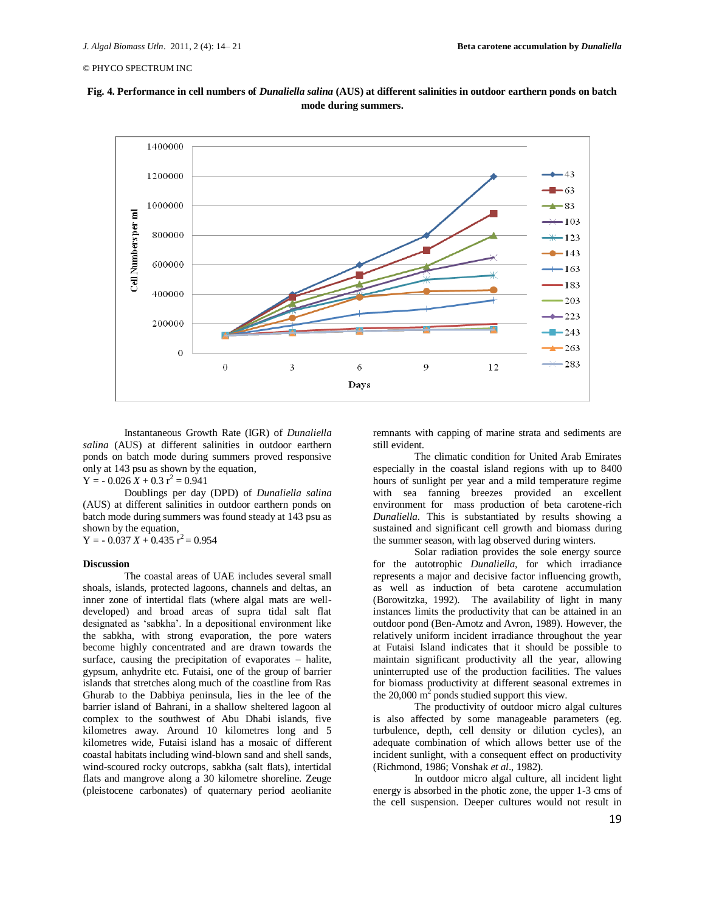



Instantaneous Growth Rate (IGR) of *Dunaliella salina* (AUS) at different salinities in outdoor earthern ponds on batch mode during summers proved responsive only at 143 psu as shown by the equation,  $Y = -0.026 \, \hat{X} + 0.3 \, \hat{r}^2 = 0.941$ 

Doublings per day (DPD) of *Dunaliella salina* (AUS) at different salinities in outdoor earthern ponds on batch mode during summers was found steady at 143 psu as shown by the equation,

 $Y = -0.037 X + 0.435 Y^2 = 0.954$ 

#### **Discussion**

The coastal areas of UAE includes several small shoals, islands, protected lagoons, channels and deltas, an inner zone of intertidal flats (where algal mats are welldeveloped) and broad areas of supra tidal salt flat designated as 'sabkha'. In a depositional environment like the sabkha, with strong evaporation, the pore waters become highly concentrated and are drawn towards the surface, causing the precipitation of evaporates – halite, gypsum, anhydrite etc. Futaisi, one of the group of barrier islands that stretches along much of the coastline from Ras Ghurab to the Dabbiya peninsula, lies in the lee of the barrier island of Bahrani, in a shallow sheltered lagoon al complex to the southwest of Abu Dhabi islands, five kilometres away. Around 10 kilometres long and 5 kilometres wide, Futaisi island has a mosaic of different coastal habitats including wind-blown sand and shell sands, wind-scoured rocky outcrops, sabkha (salt flats), intertidal flats and mangrove along a 30 kilometre shoreline. Zeuge (pleistocene carbonates) of quaternary period aeolianite

remnants with capping of marine strata and sediments are still evident.

The climatic condition for United Arab Emirates especially in the coastal island regions with up to 8400 hours of sunlight per year and a mild temperature regime with sea fanning breezes provided an excellent environment for mass production of beta carotene-rich *Dunaliella.* This is substantiated by results showing a sustained and significant cell growth and biomass during the summer season, with lag observed during winters.

Solar radiation provides the sole energy source for the autotrophic *Dunaliella*, for which irradiance represents a major and decisive factor influencing growth, as well as induction of beta carotene accumulation (Borowitzka, 1992). The availability of light in many instances limits the productivity that can be attained in an outdoor pond (Ben-Amotz and Avron, 1989). However, the relatively uniform incident irradiance throughout the year at Futaisi Island indicates that it should be possible to maintain significant productivity all the year, allowing uninterrupted use of the production facilities. The values for biomass productivity at different seasonal extremes in the 20,000  $m^2$  ponds studied support this view.

The productivity of outdoor micro algal cultures is also affected by some manageable parameters (eg. turbulence, depth, cell density or dilution cycles), an adequate combination of which allows better use of the incident sunlight, with a consequent effect on productivity (Richmond, 1986; Vonshak *et al*., 1982).

In outdoor micro algal culture, all incident light energy is absorbed in the photic zone, the upper 1-3 cms of the cell suspension. Deeper cultures would not result in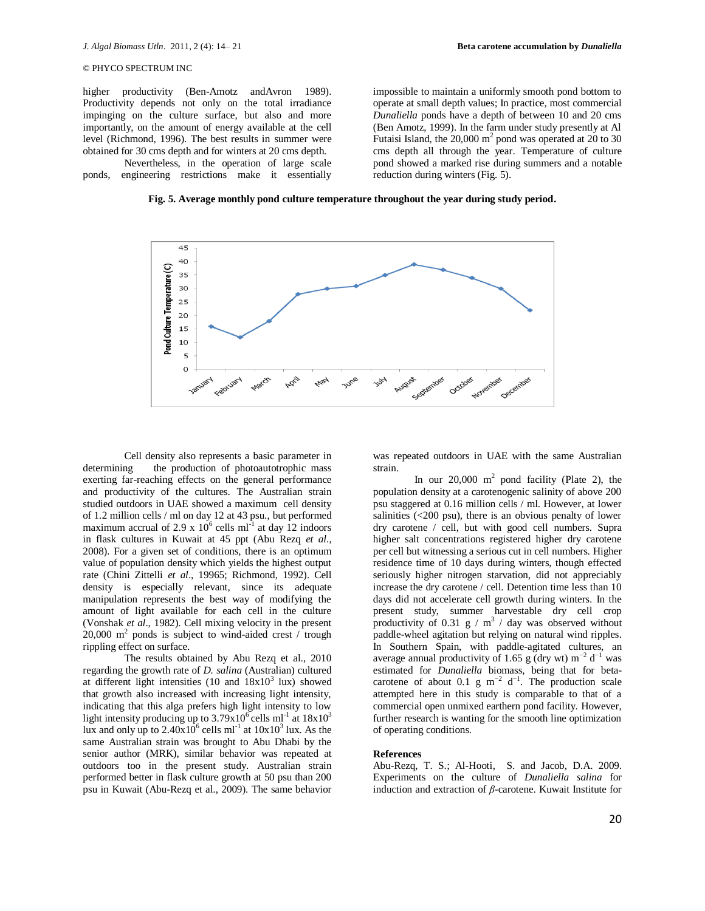impossible to maintain a uniformly smooth pond bottom to operate at small depth values; In practice, most commercial *Dunaliella* ponds have a depth of between 10 and 20 cms (Ben Amotz, 1999). In the farm under study presently at Al Futaisi Island, the  $20,000 \text{ m}^2$  pond was operated at 20 to 30 cms depth all through the year. Temperature of culture pond showed a marked rise during summers and a notable

reduction during winters (Fig. 5).

# © PHYCO SPECTRUM INC

higher productivity (Ben-Amotz andAvron 1989). Productivity depends not only on the total irradiance impinging on the culture surface, but also and more importantly, on the amount of energy available at the cell level (Richmond, 1996). The best results in summer were obtained for 30 cms depth and for winters at 20 cms depth.

Nevertheless, in the operation of large scale ponds, engineering restrictions make it essentially

**Fig. 5. Average monthly pond culture temperature throughout the year during study period.**



Cell density also represents a basic parameter in<br>determining the production of photoautotrophic mass the production of photoautotrophic mass exerting far-reaching effects on the general performance and productivity of the cultures. The Australian strain studied outdoors in UAE showed a maximum cell density of 1.2 million cells / ml on day 12 at 43 psu., but performed maximum accrual of 2.9 x  $10^6$  cells ml<sup>-1</sup> at day 12 indoors in flask cultures in Kuwait at 45 ppt (Abu Rezq *et al*., 2008). For a given set of conditions, there is an optimum value of population density which yields the highest output rate (Chini Zittelli *et al*., 19965; Richmond, 1992). Cell density is especially relevant, since its adequate manipulation represents the best way of modifying the amount of light available for each cell in the culture (Vonshak *et al*., 1982). Cell mixing velocity in the present  $20,000$  m<sup>2</sup> ponds is subject to wind-aided crest / trough rippling effect on surface.

The results obtained by Abu Rezq et al., 2010 regarding the growth rate of *D. salina* (Australian) cultured at different light intensities  $(10 \text{ and } 18x10^3 \text{ lux})$  showed that growth also increased with increasing light intensity, indicating that this alga prefers high light intensity to low light intensity producing up to  $3.79x10^6$  cells ml<sup>-1</sup> at  $18x10^3$ lux and only up to  $2.40 \times 10^6$  cells ml<sup>-1</sup> at  $10 \times 10^3$  lux. As the same Australian strain was brought to Abu Dhabi by the senior author (MRK), similar behavior was repeated at outdoors too in the present study. Australian strain performed better in flask culture growth at 50 psu than 200 psu in Kuwait (Abu-Rezq et al., 2009). The same behavior

was repeated outdoors in UAE with the same Australian strain.

In our  $20,000$  m<sup>2</sup> pond facility (Plate 2), the population density at a carotenogenic salinity of above 200 psu staggered at 0.16 million cells / ml. However, at lower salinities (<200 psu), there is an obvious penalty of lower dry carotene / cell, but with good cell numbers. Supra higher salt concentrations registered higher dry carotene per cell but witnessing a serious cut in cell numbers. Higher residence time of 10 days during winters, though effected seriously higher nitrogen starvation, did not appreciably increase the dry carotene / cell. Detention time less than 10 days did not accelerate cell growth during winters. In the present study, summer harvestable dry cell crop productivity of 0.31  $g / m^3$  / day was observed without paddle-wheel agitation but relying on natural wind ripples. In Southern Spain, with paddle-agitated cultures, an average annual productivity of 1.65 g (dry wt)  $m^{-2} d^{-1}$  was estimated for *Dunaliella* biomass, being that for betacarotene of about 0.1 g m<sup>-2</sup> d<sup>-1</sup>. The production scale attempted here in this study is comparable to that of a commercial open unmixed earthern pond facility. However, further research is wanting for the smooth line optimization of operating conditions.

### **References**

Abu-Rezq, T. S.; Al-Hooti, S. and Jacob, D.A. 2009. Experiments on the culture of *Dunaliella salina* for induction and extraction of *β*-carotene. Kuwait Institute for